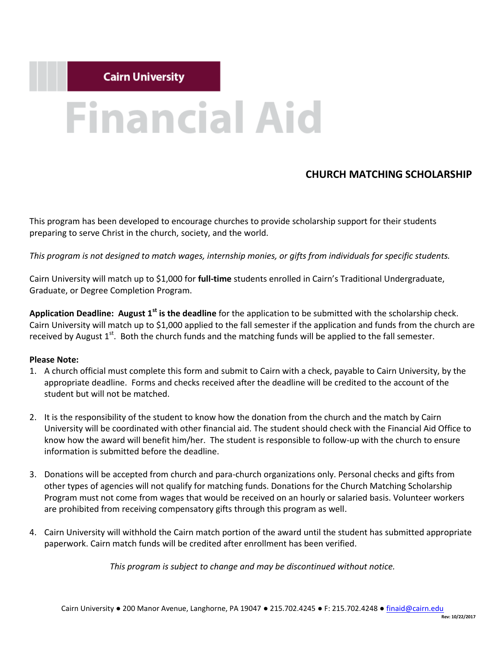# **Financial Aid**

# **CHURCH MATCHING SCHOLARSHIP**

This program has been developed to encourage churches to provide scholarship support for their students preparing to serve Christ in the church, society, and the world.

*This program is not designed to match wages, internship monies, or gifts from individuals for specific students.*

Cairn University will match up to \$1,000 for **full-time** students enrolled in Cairn's Traditional Undergraduate, Graduate, or Degree Completion Program.

**Application Deadline: August 1st is the deadline** for the application to be submitted with the scholarship check. Cairn University will match up to \$1,000 applied to the fall semester if the application and funds from the church are received by August  $1^{st}$ . Both the church funds and the matching funds will be applied to the fall semester.

#### **Please Note:**

- 1. A church official must complete this form and submit to Cairn with a check, payable to Cairn University, by the appropriate deadline. Forms and checks received after the deadline will be credited to the account of the student but will not be matched.
- 2. It is the responsibility of the student to know how the donation from the church and the match by Cairn University will be coordinated with other financial aid. The student should check with the Financial Aid Office to know how the award will benefit him/her. The student is responsible to follow-up with the church to ensure information is submitted before the deadline.
- 3. Donations will be accepted from church and para-church organizations only. Personal checks and gifts from other types of agencies will not qualify for matching funds. Donations for the Church Matching Scholarship Program must not come from wages that would be received on an hourly or salaried basis. Volunteer workers are prohibited from receiving compensatory gifts through this program as well.
- 4. Cairn University will withhold the Cairn match portion of the award until the student has submitted appropriate paperwork. Cairn match funds will be credited after enrollment has been verified.

*This program is subject to change and may be discontinued without notice.*